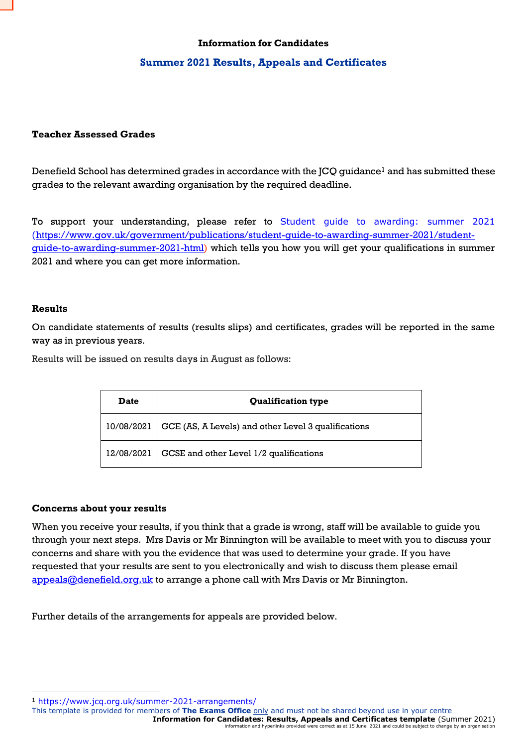### **Information for Candidates**

## **Summer 2021 Results, Appeals and Certificates**

### **Teacher Assessed Grades**

Denefield School has determined grades in accordance with the JCQ guidance<sup>1</sup> and has submitted these grades to the relevant awarding organisation by the required deadline.

To support your understanding, please refer to [Student guide to awarding: summer 2021](https://www.gov.uk/government/publications/student-guide-to-awarding-summer-2021) ([https://www.gov.uk/government/publications/student-guide-to-awarding-summer-2021/student](https://www.gov.uk/government/publications/student-guide-to-awarding-summer-2021/student-guide-to-awarding-summer-2021-html)[guide-to-awarding-summer-2021-html\)](https://www.gov.uk/government/publications/student-guide-to-awarding-summer-2021/student-guide-to-awarding-summer-2021-html) which tells you how you will get your qualifications in summer 2021 and where you can get more information.

#### **Results**

**Inf**

On candidate statements of results (results slips) and certificates, grades will be reported in the same way as in previous years.

Results will be issued on results days in August as follows:

| <b>Date</b> | <b>Qualification type</b>                           |
|-------------|-----------------------------------------------------|
| 10/08/2021  | GCE (AS, A Levels) and other Level 3 qualifications |
| 12/08/2021  | GCSE and other Level 1/2 qualifications             |

#### **Concerns about your results**

When you receive your results, if you think that a grade is wrong, staff will be available to guide you through your next steps. Mrs Davis or Mr Binnington will be available to meet with you to discuss your concerns and share with you the evidence that was used to determine your grade. If you have requested that your results are sent to you electronically and wish to discuss them please email [appeals@denefield.org.uk](mailto:appeals@denefield.org.uk) to arrange a phone call with Mrs Davis or Mr Binnington.

Further details of the arrangements for appeals are provided below.

This template is provided for members of **The Exams Office** only and must not be shared beyond use in your centre

**Information for Candidates: Results, Appeals and Certificates template (Summer 2021)**<br>information and hyperlinks provided were correct as at 15 June 2021 and could be subject to change by an organisation re correct as at 15 June 2021 and could be subject to change by an organisation

<sup>1</sup> <https://www.jcq.org.uk/summer-2021-arrangements/>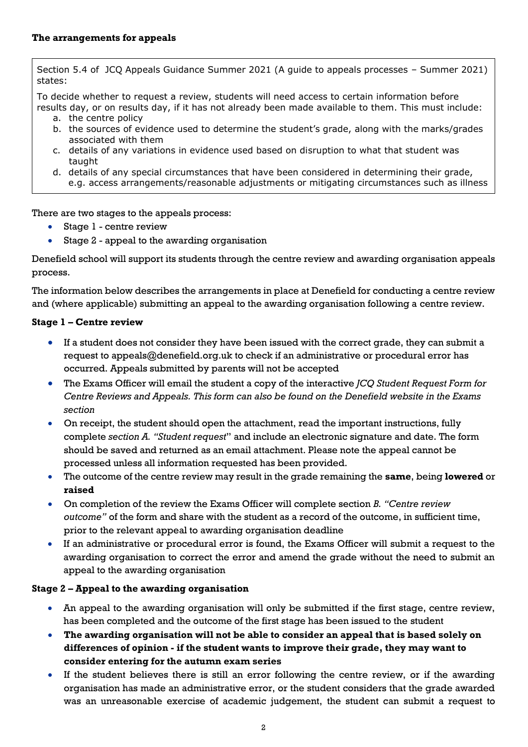Section 5.4 of JCQ Appeals Guidance Summer 2021 (A guide to appeals processes – Summer 2021) states:

To decide whether to request a review, students will need access to certain information before results day, or on results day, if it has not already been made available to them. This must include:

- a. the centre policy
- b. the sources of evidence used to determine the student's grade, along with the marks/grades associated with them
- c. details of any variations in evidence used based on disruption to what that student was taught
- d. details of any special circumstances that have been considered in determining their grade, e.g. access arrangements/reasonable adjustments or mitigating circumstances such as illness

There are two stages to the appeals process:

- Stage 1 centre review
- Stage 2 appeal to the awarding organisation

Denefield school will support its students through the centre review and awarding organisation appeals process.

The information below describes the arrangements in place at Denefield for conducting a centre review and (where applicable) submitting an appeal to the awarding organisation following a centre review.

## **Stage 1 – Centre review**

- If a student does not consider they have been issued with the correct grade, they can submit a request to appeals@denefield.org.uk to check if an administrative or procedural error has occurred. Appeals submitted by parents will not be accepted
- The Exams Officer will email the student a copy of the interactive *JCQ Student Request Form for Centre Reviews and Appeals. This form can also be found on the Denefield website in the Exams section*
- On receipt, the student should open the attachment, read the important instructions, fully complete *section A. "Student request*" and include an electronic signature and date. The form should be saved and returned as an email attachment. Please note the appeal cannot be processed unless all information requested has been provided.
- The outcome of the centre review may result in the grade remaining the **same**, being **lowered** or **raised**
- On completion of the review the Exams Officer will complete section *B. "Centre review outcome"* of the form and share with the student as a record of the outcome, in sufficient time, prior to the relevant appeal to awarding organisation deadline
- If an administrative or procedural error is found, the Exams Officer will submit a request to the awarding organisation to correct the error and amend the grade without the need to submit an appeal to the awarding organisation

# **Stage 2 – Appeal to the awarding organisation**

- An appeal to the awarding organisation will only be submitted if the first stage, centre review, has been completed and the outcome of the first stage has been issued to the student
- **The awarding organisation will not be able to consider an appeal that is based solely on differences of opinion - if the student wants to improve their grade, they may want to consider entering for the autumn exam series**
- If the student believes there is still an error following the centre review, or if the awarding organisation has made an administrative error, or the student considers that the grade awarded was an unreasonable exercise of academic judgement, the student can submit a request to